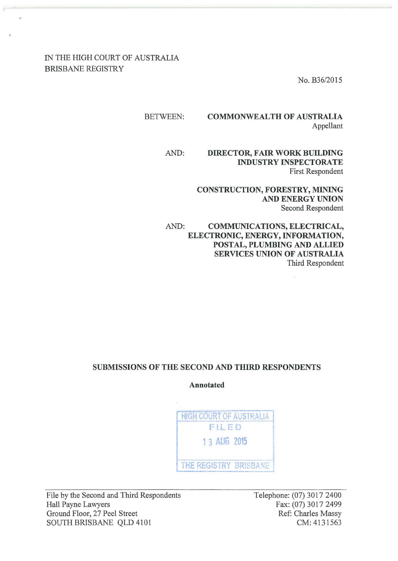### IN THE HIGH COURT OF AUSTRALIA BRISBANE REGISTRY

No. B36/2015

#### BETWEEN: COMMONWEALTH OF AUSTRALIA

Appellant

#### AND: DIRECTOR, FAIR WORK BUILDING INDUSTRY INSPECTORATE First Respondent

CONSTRUCTION, FORESTRY, MINING AND ENERGY UNION Second Respondent

AND: COMMUNICATIONS, ELECTRICAL, ELECTRONIC, ENERGY, INFORMATION, POSTAL, PLUMBING AND ALLIED SERVICES UNION OF AUSTRALIA Third Respondent

#### SUBMISSIONS OF THE SECOND AND THIRD RESPONDENTS

Annotated

HIGH COURT OF AUSTRALIA F I.L ED 1 3 AUG 2015 THE REGISTRY BRISBANE

File by the Second and Third Respondents Hall Payne Lawyers Ground Floor, 27 Peel Street SOUTH BRISBANE QLD 4101

Telephone: (07) 3017 2400 Fax: (07) 3017 2499 Ref: Charles Massy CM: 413 1563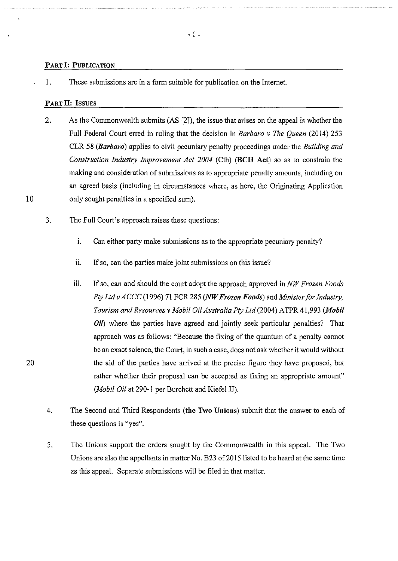#### PART 1: PUBLICATION

1. These submissions are in a form suitable for publication on the Internet.

#### PART II: ISSUES

- 2. As the Commonwealth submits (AS [2]), the issue that arises on the appeal is whether the Full Federal Court erred in ruling that the decision in *Barbaro v The Queen* (2014) 253 CLR 58 *(Barbaro)* applies to civil pecuniary penalty proceedings under the *Building and Construction Industry Improvement Act 2004* (Cth) (BCII Act) so as to constrain the making and consideration of submissions as to appropriate penalty amounts, including on an agreed basis (including in circumstances where, as here, the Originating Application only sought penalties in a specified sum).
- 3. The Full Court's approach raises these questions:
	- 1. Can either party make submissions as to the appropriate pecuniary penalty?
	- ii. If so, can the parties make joint submissions on this issue?
	- iii. If so, can and should the court adopt the approach approved in *NW Frozen Foods Pty Ltd v ACCC* (1996) 71 FCR 285 *(NW Frozen Foods)* and *Minister for Industry, Tourism and Resources v Mobil Oil Australia Pty Ltd* (2004) A TPR 41 ,993 *(Mobil Oil*) where the parties have agreed and jointly seek particular penalties? That approach was as follows: "Because the fixing of the quantum of a penalty cannot be an exact science, the Court, in such a case, does not ask whether it would without the aid of the parties have arrived at the precise figure they have proposed, but rather whether their proposal can be accepted as fixing an appropriate amount" *(Mobil Oil* at 290-1 per Burchett and Kiefel JJ).
- 4. The Second and Third Respondents (the Two Unions) submit that the answer to each of these questions is "yes".
- 5. The Unions support the orders sought by the Commonwealth in this appeal. The Two Unions are also the appellants in matter No. B23 of 2015 listed to be heard at the same time as this appeal. Separate submissions will be filed in that matter.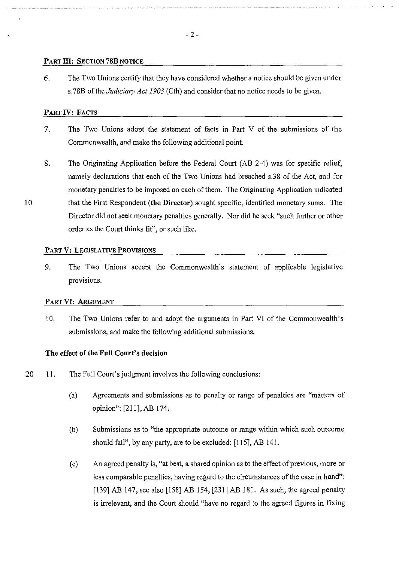#### PART III: SECTION 78B NOTICE

6. The Two Unions cettify that they have considered whether a notice should be given under s.78B of the *Judiciary Act 1903* (Cth) and consider that no notice needs to be given.

#### PART IV: FACTS

10

- 7. The Two Unions adopt the statement of facts in Part V of the submissions of the Commonwealth, and make the following additional point.
- 8. The Originating Application before the Federal Court (AB 2-4) was for specific relief, namely declarations that each of the Two Unions had breached s.38 of the Act, and for monetary penalties to be imposed on each of them. The Originating Application indicated that the First Respondent (the Director) sought specific, identified monetary sums. The Director did not seek monetary penalties generally. Nor did he seek "such further or other order as the Court thinks fit", or such like.

#### PART V: LEGISLATIVE PROVISIONS

9. The Two Unions accept the Commonwealth's statement of applicable legislative provisions.

#### PART VI: ARGUMENT

10. The Two Unions refer to and adopt the arguments in Part VI of the Commonwealth's submissions, and make the following additional submissions.

#### The effect of the Full Court's decision

- 20 II. The Full Court's judgment involves the following conclusions:
	- (a) Agreements and submissions as to penalty or range of penalties are "matters of opinion": [211], AB 174.
	- (b) Submissions as to "the appropriate outcome or range within which such outcome should fall", by any party, are to be excluded: [115], AB 141.
	- (c) An agreed penalty is, "at best, a shared opinion as to the effect of previous, more or less comparable penalties, having regard to the circumstances of the case in hand": [139] AB 147, see also [158] AB 154, [231] AB 181. As such, the agreed penalty is irrelevant, and the Court should "have no regard to the agreed figures in fixing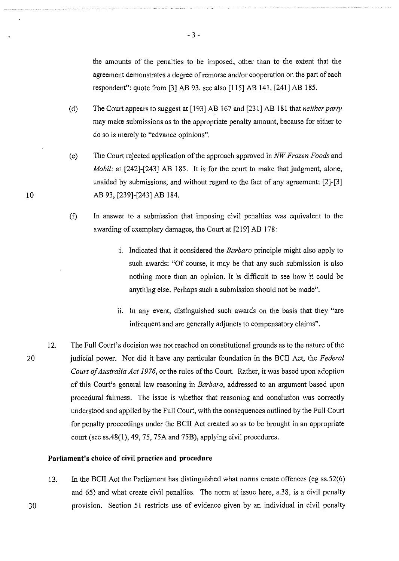the amounts of the penalties to be imposed, other than to the extent that the agreement demonstrates a degree of remorse and/or cooperation on the part of each respondent": quote from [3] AB 93, see also [115] AB 141, [241] AB 185.

- (d) The Court appears to suggest at [193] AB 167 and [231] AB 181 that *neither party*  may make submissions as to the appropriate penalty amount, because for either to do so is merely to "advance opinions".
- (e) The Court rejected application of the approach approved in *NW Frozen Foods* and *Mobil:* at [242]-[243] AB 185. It is for the court to make that judgment, alone, unaided by submissions, and without regard to the fact of any agreement: [2]-[3] AB 93, [239]-[243] AB 184.
- (f) In answer to a submission that imposing civil penalties was equivalent to the awarding of exemplary damages, the Court at [219] AB 178:
	- i. Indicated that it considered the *Barbaro* principle might also apply to such awards: "Of course, it may be that any such submission is also nothing more than an opinion. It is difficult to see how it could be anything else. Perhaps such a submission should not be made".
	- ii. In any event, distinguished such awards on the basis that they "are infrequent and are generally adjuncts to compensatory claims".
- 12. The Full Court's decision was not reached on constitutional grounds as to the nature of the judicial power. Nor did it have any particular foundation in the BCII Act, the *Federal Court of Australia Act 1976,* or the rules of the Court. Rather, it was based upon adoption of this Court's general law reasoning in *Barbaro,* addressed to an argument based upon procedural fairness. The issue is whether that reasoning and conclusion was correctly understood and applied by the Full Court, with the consequences outlined by the Full Court for penalty proceedings under the BCII Act created so as to be brought in an appropriate court (see ss.48(1), 49, 75, 75A and 75B), applying civil procedures.

#### **Parliament's choice of civil practice and procednre**

13. In the BCII Act the Parliament has distinguished what norms create offences (eg ss.52(6) and 65) and what create civil penalties. The norm at issue here, s.38, is a civil penalty provision. Section 51 restricts use of evidence given by an individual in civil penalty

20

30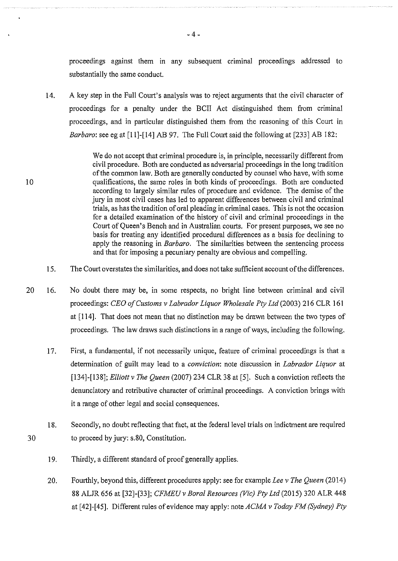proceedings against them in any subsequent criminal proceedings addressed to substantially the same conduct.

14. A key step in the Full Court's analysis was to reject arguments that the civil character of proceedings for a penalty under the BCII Act distinguished them from criminal proceedings, and in particular distinguished them from the reasoning of this Court in *Barbaro*: see eg at [11]-[14] AB 97. The Full Court said the following at [233] AB 182:

> We do not accept that criminal procedure is, in principle, necessarily different from civil procedure. Both are conducted as adversarial proceedings in the long tradition of the common law. Both are generally conducted by counsel who have, with some qualifications, the same roles in both kinds of proceedings. Both are conducted according to largely similar rules of procedure and evidence. The demise of the jury in most civil cases has led to apparent differences between civil and criminal trials, as has the tradition of oral pleading in criminal cases. This is not the occasion for a detailed examination of the history of civil and criminal proceedings in the Court of Queen's Bench and in Australian courts. For present purposes, we see no basis for treating any identified procedural differences as a basis for declining to apply the reasoning in *Barbaro.* The similarities between the sentencing process and that for imposing a pecuniary penalty are obvious and compelling.

- 15. The Court overstates the similarities, and does not take sufficient account of the differences.
- 20 16. No doubt there may be, in some respects, no bright line between criminal and civil proceedings: *CEO of Customs v Labrador Liquor Wholesale Pty Ltd* (2003) 216 CLR 161 at [114]. That does not mean that no distinction may be drawn between the two types of proceedings. The law draws such distinctions in a range of ways, including the following.
	- 17. First, a fundamental, if not necessarily unique, feature of criminal proceedings is that a determination of guilt may lead to a *conviction:* note discussion in *Labrador Liquor* at [134]-[138]; *Elliott v The Queen* (2007) 234 CLR 38 at [5]. Such a conviction reflects the denunciatory and retributive character of criminal proceedings. A conviction brings with it a range of other legal and social consequences.
	- 18. Secondly, no doubt reflecting that fact, at the federal level trials on indictment are required to proceed by jury: s.80, Constitution.
		- 19. Thirdly, a different standard of proof generally applies.

10

30

20. Fourthly, beyond this, different procedures apply: see for example *Lee v The Queen* (2014) 88 ALJR 656 at [32]-[33]; *CFMEUv Bora/ Resources (Vic) Pty Ltd* (2015) 320 ALR 448 at [42]-[45]. Different rules of evidence may apply: noteACMA *v Today FM (Sydney) Pty* 

- 4-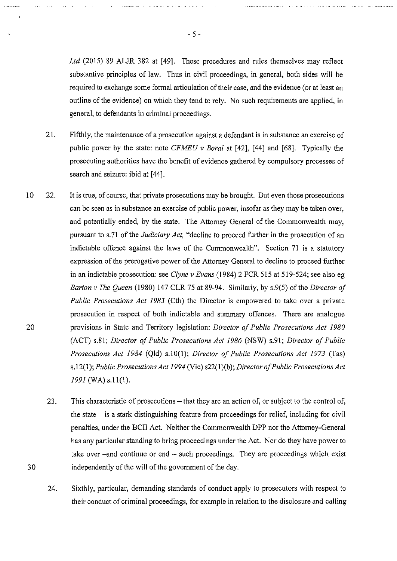Ltd (2015) 89 ALJR 382 at [49]. These procedures and rules themselves may reflect substantive principles of law. Thus in civil proceedings, in general, both sides will be required to exchange some formal articulation of their case, and the evidence (or at least an outline of the evidence) on which they tend to rely. No such requirements are applied, in general, to defendants in criminal proceedings.

- 21. Fifthly, the maintenance of a prosecution against a defendant is in substance an exercise of public power by the state: note *CFMEU v Bora!* at [42], [44] and [68]. Typically the prosecuting authorities have the benefit of evidence gathered by compulsory processes of search and seizure: ibid at [44].
- 10 22. It is true, of course, that private prosecutions may be brought. But even those prosecutions can be seen as in substance an exercise of public power, insofar as they may be taken over, and potentially ended, by the state. The Attorney General of the Commonwealth may, pursuant to s.71 of the *Judiciary Act,* "decline to proceed further in the prosecution of an indictable offence against the laws of the Commonwealth". Section 71 is a statutory expression of the prerogative power of the Attorney General to decline to proceed further in an indictable prosecution: see *Clyne v Evans* (1984) 2 FCR 515 at 519-524; see also eg *Barton v The Queen* (1980) 147 CLR 75 at 89-94. Similarly, by s.9(5) of the *Director of Public Prosecutions Act 1983* (Cth) the Director is empowered to take over a private prosecution in respect of both indictable and summary offences. There are analogue provisions in State and Territory legislation: *Director of Public Prosecutions Act 1980*  (ACT) s.81; *Director of Public Prosecutions Act 1986* (NSW) s.91; *Director of Public Prosecutions Act 1984* (Qld) s.lO(l); *Director of Public Prosecutions Act 1973* (Tas) s.l2(1 ); *Public Prosecutions Act 1994* (Vic) s22(1 )(b); *Director of Public Prosecutions Act 1991* (WA) s.ll(l).
	- 23. This characteristic of prosecutions that they are an action of, or subject to the control of, the state  $-$  is a stark distinguishing feature from proceedings for relief, including for civil penalties, under the BCII Act. Neither the Commonwealth DPP nor the Attorney-General has any particular standing to bring proceedings under the Act. Nor do they have power to take over -and continue or end - such proceedings. They are proceedings which exist independently of the will of the government of the day.
	- 24. Sixthly, particular, demanding standards of conduct apply to prosecutors with respect to their conduct of criminal proceedings, for example in relation to the disclosure and calling

20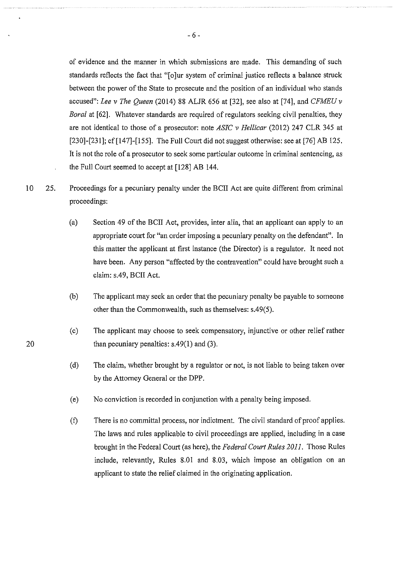of evidence and the manner in which submissions are made. This demanding of such standards reflects the fact that "[o]ur system of criminal justice reflects a balance struck between the power of the State to prosecute and the position of an individual who stands accused": *Lee v The Queen* (2014) 88 ALJR 656 at [32], see also at [74], and *CFMEU v Boral* at [62]. Whatever standards are required of regulators seeking civil penalties, they are not identical to those of a prosecutor: note *ASIC v Hellicar* (2012) 247 CLR 345 at [230]-[231]; cf [147]-[155]. The Full Court did not suggest otherwise: see at [76] AB 125. It is not the role of a prosecutor to seek some particular outcome in criminal sentencing, as the Full Court seemed to accept at [128] AB 144.

- 10 25. Proceedings for a pecuniary penalty under the BCII Act are quite different from criminal proceedings:
	- (a) Section 49 of the BCII Act, provides, inter alia, that an applicant can apply to an appropriate court for "an order imposing a pecuniary penalty on the defendant". In this matter the applicant at first instance (the Director) is a regulator. It need not have been. Any person "affected by the contravention" could have brought such a claim: s.49, BCII Act.
	- (b) The applicant may seek an order that the pecuniary penalty be payable to someone other than the Commonwealth, such as themselves: s.49(5).
	- (c) The applicant may choose to seek compensatory, injunctive or other relief rather than pecuniary penalties:  $s.49(1)$  and  $(3)$ .
	- (d) The claim, whether brought by a regulator or not, is not liable to being taken over by the Attorney General or the DPP.
	- (e) No conviction is recorded in conjunction with a penalty being imposed.
	- (f) There is no committal process, nor indictment. The civil standard of proof applies. The laws and rules applicable to civil proceedings are applied, including in a case brought in the Federal Court (as here), the *Federal Court Rules 2011.* Those Rules include, relevantly, Rules 8.01 and 8.03, which impose an obligation on an applicant to state the relief claimed in the originating application.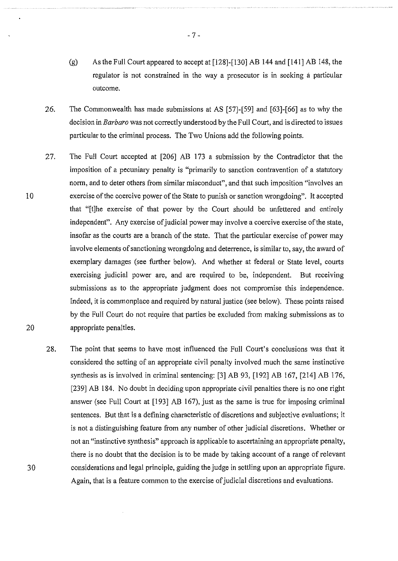- (g) As the Full Court appeared to accept at [128]-[130] AB 144 and [141] AB 148, the regulator is not constrained in the way a prosecutor is in seeking a particular outcome.
- 26. The Commonwealth has made submissions at AS [57]-[59] and [63]-[66] as to why the decision in *Barbaro* was not correctly understood by the Full Court, and is directed to issues particular to the criminal process. The Two Unions add the following points.
- 27. The Full Court accepted at [206] AB 173 a submission by the Contradictor that the imposition of a pecuniary penalty is "primarily to sanction contravention of a statutory norm, and to deter others from similar misconduct", and that such imposition "involves an exercise of the coercive power of the State to punish or sanction wrongdoing". It accepted that "[t]he exercise of that power by the Court should be unfettered and entirely independent". Any exercise of judicial power may involve a coercive exercise of the state, insofar as the courts are a branch of the state. That the particular exercise of power may involve elements of sanctioning wrongdoing and deterrence, is similar to, say, the award of exemplary damages (see further below). And whether at federal or State level, courts exercising judicial power are, and are required to be, independent. But receiving submissions as to the appropriate judgment does not compromise this independence. Indeed, it is commonplace and required by natural justice (see below). These points raised by the Full Court do not require that parties be excluded from making submissions as to appropriate penalties.
- 28. The point that seems to have most influenced the Full Court's conclusions was that it considered the setting of an appropriate civil penalty involved much the same instinctive synthesis as is involved in criminal sentencing: [3] AB 93, [192] AB 167, [214] AB 176, [239] AB 184. No doubt in deciding upon appropriate civil penalties there is no one right answer (see Full Court at [193] AB 167), just as the same is true for imposing criminal sentences. But that is a defining characteristic of discretions and subjective evaluations; it is not a distinguishing feature from any number of other judicial discretions. Whether or not an "instinctive synthesis" approach is applicable to ascertaining an appropriate penalty, there is no doubt that the decision is to be made by taking account of a range of relevant considerations and legal principle, guiding the judge in settling upon an appropriate figure. Again, that is a feature common to the exercise of judicial discretions and evaluations.

10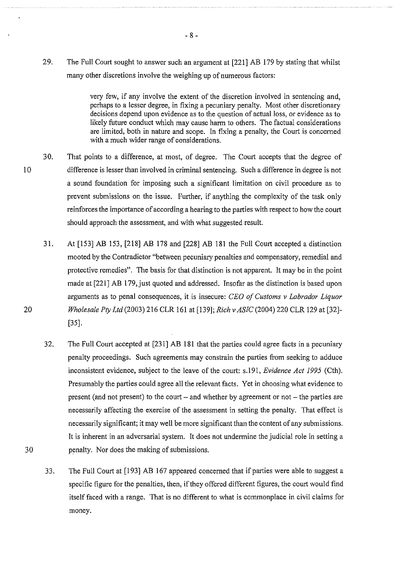29. The Full Court sought to answer such an argument at [221] AB 179 by stating that whilst many other discretions involve the weighing up of numerous factors:

> very few, if any involve the extent of the discretion involved in sentencing and, perhaps to a lesser degree, in fixing a pecuniary penalty. Most other discretionary decisions depend upon evidence as to the question of actual loss, or evidence as to likely future conduct which may cause harm to others. The factual considerations are limited, both in nature and scope. In fixing a penalty, the Court is concerned with a much wider range of considerations.

- 30. That points to a difference, at most, of degree. The Court accepts that the degree of difference is lesser than involved in criminal sentencing. Such a difference in degree is not a sound foundation for imposing such a significant limitation on civil procedure as to prevent submissions on the issue. Further, if anything the complexity of the task only reinforces the importance of according a hearing to the parties with respect to how the court should approach the assessment, and with what suggested result.
	- 31. At [153] AB 153, [218] AB 178 and [228] AB 181 the Full Court accepted a distinction mooted by the Contradictor "between pecuniary penalties and compensatory, remedial and protective remedies". The basis for that distinction is not apparent. It may be in the point made at [221] AB 179, just quoted and addressed. Insofar as the distinction is based upon arguments as to penal consequences, it is insecure: *CEO of Customs v Labrador Liquor Wholesale Pty Ltd* (2003) 216 CLR 161 at [139]; *Rich v ASIC* (2004) 220 CLR 129 at [32]- [35].
	- 32. The Full Court accepted at [231] AB 181 that the parties could agree facts in a pecuniary penalty proceedings. Such agreements may constrain the parties from seeking to adduce inconsistent evidence, subject to the leave of the court: s.l91, *Evidence Act 1995* (Cth). Presumably the parties could agree all the relevant facts. Yet in choosing what evidence to present (and not present) to the court  $-$  and whether by agreement or not  $-$  the parties are necessarily affecting the exercise of the assessment in setting the penalty. That effect is necessarily significant; it may well be more significant than the content of any submissions. It is inherent in an adversarial system. It does not undermine the judicial role in setting a penalty. Nor does the making of submissions.
	- 33. The Full Court at [193] AB 167 appeared concerned that if parties were able to suggest a specific figure for the penalties, then, if they offered different figures, the court would find itself faced with a range. That is no different to what is commonplace in civil claims for money.

- 8-

20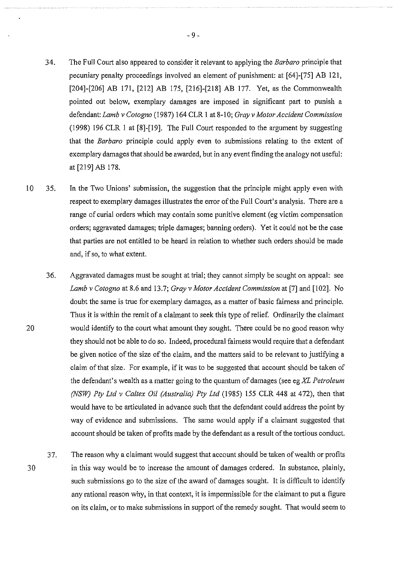- 34. The Full Court also appeared to consider it relevant to applying the *Barbaro* principle that pecuniary penalty proceedings involved an element of punishment: at [64]-[75] AB 121, [204]-[206] AB 171, [212] AB 175, [216]-[218] AB 177. Yet, as the Commonwealth pointed out below, exemplary damages are imposed in significant part to punish a defendant: *Lamb* v *Cotogno* (1987) 164 CLR I at 8-10; *Gray v Motor Accident Commission*  (1998) 196 CLR I at [8]-[19]. The Full Court responded to the argument by suggesting that the *Barbaro* principle could apply even to submissions relating to the extent of exemplary damages that should be awarded, but in any event finding the analogy not useful: at [219] AB 178.
- 10 35. In the Two Unions' submission, the suggestion that the principle might apply even with respect to exemplary damages illustrates the error of the Full Court's analysis. There are a range of curial orders which may contain some punitive element (eg victim compensation orders; aggravated damages; triple damages; banning orders). Yet it could not be the case that parties are not entitled to be heard in relation to whether such orders should be made and, if so, to what extent.
	- 36. Aggravated damages must be sought at trial; they cannot simply be sought on appeal: see *Lamb v Cotogno* at 8.6 and 13.7; *Gray v Motor Accident Commission* at [7] and [102]. No doubt the same is true for exemplary damages, as a matter of basic fairness and principle. Thus it is within the remit of a claimant to seek this type of relief. Ordinarily the claimant would identify to the court what amount they sought. There could be no good reason why they should not be able to do so. Indeed, procedural fairness would require that a defendant be given notice of the size of the claim, and the matters said to be relevant to justifying a claim of that size. For example, if it was to be suggested that account should be taken of the defendant's wealth as a matter going to the quantum of damages (see eg *XL Petroleum (NSW) Pty Ltd v Caltex Oil (Australia) Pty Ltd* (1985) 155 CLR 448 at 472), then that would have to be articulated in advance such that the defendant could address the point by way of evidence and submissions. The same would apply if a claimant suggested that account should be taken of profits made by the defendant as a result of the tortious conduct.
- 30 37. The reason why a claimant would suggest that account should be taken of wealth or profits in this way would be to increase the amount of damages ordered. In substance, plainly, such submissions go to the size of the award of damages sought. It is difficult to identify any rational reason why, in that context, it is impermissible for the claimant to put a figure on its claim, or to make submissions in support of the remedy sought. That would seem to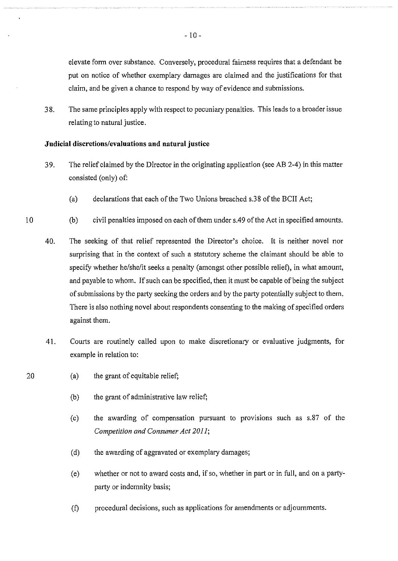elevate form over substance. Conversely, procedural fairness requires that a defendant be put on notice of whether exemplary damages are claimed and the justifications for that claim, and be given a chance to respond by way of evidence and submissions.

38. The same principles apply with respect to pecuniary penalties. This leads to a broader issue relating to natural justice.

#### **Judicial discretions/evaluations and natural justice**

- 39. The relief claimed by the Director in the originating application (see AB 2-4) in this matter consisted (only) of:
	- (a) declarations that each of the Two Unions breached s.38 of the BCII Act;
- 10 (b) civil penalties imposed on each of them under s.49 of the Act in specified amounts.
	- 40. The seeking of that relief represented the Director's choice. It is neither novel nor surprising that in the context of such a statutory scheme the claimant should be able to specify whether he/she/it seeks a penalty (amongst other possible relief), in what amount, and payable to whom. If such can be specified, then it must be capable of being the subject of submissions by the party seeking the orders and by the party potentially subject to them. There is also nothing novel about respondents consenting to the making of specified orders against them.
	- 41. Courts are routinely called upon to make discretionary or evaluative judgments, for example in relation to:
		- (a) the grant of equitable relief;
			- (b) the grant of administrative law relief;
			- (c) the awarding of compensation pursuant to provisions such as s.87 of the *Competition and Consumer Act 2011;*
			- (d) the awarding of aggravated or exemplary damages;
			- (e) whether or not to award costs and, if so, whether in part or in full, and on a partyparty or indemnity basis;
			- (f) procedural decisions, such as applications for amendments or adjournments.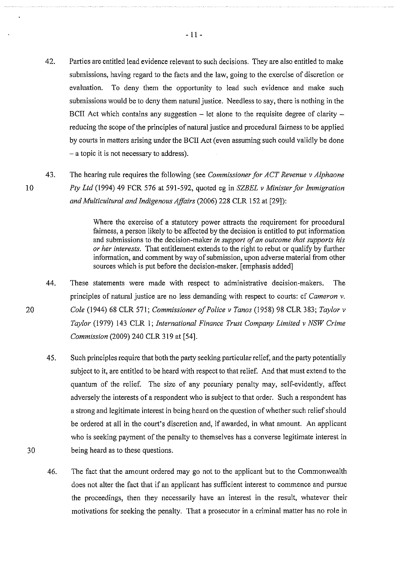- 42. Parties are entitled lead evidence relevant to such decisions. They are also entitled to make submissions, having regard to the facts and the law, going to the exercise of discretion or evaluation. To deny them the opportunity to lead such evidence and make such submissions would be to deny them natural justice. Needless to say, there is nothing in the BCII Act which contains any suggestion  $-$  let alone to the requisite degree of clarity  $$ reducing the scope of the principles of natural justice and procedural fairness to be applied by comts in matters arising under the BCII Act (even assuming such could validly be done - a topic it is not necessary to address).
- 43. The hearing rule requires the following (see *Commissioner for ACT Revenue v Alphaone Pty Ltd* (1994) 49 FCR 576 at 591-592, quoted eg in *SZBEL v Minister for Immigration and Multicultural and Indigenous Affairs* (2006) 228 CLR 152 at [29]):

Where the exercise of a statutory power attracts the requirement for procedural fairness, a person likely to be affected by the decision is entitled to put information and submissions to the decision-maker *in support of an outcome that supports his or her interests.* That entitlement extends to the right to rebut or qualify by further information, and comment by way of submission, upon adverse material from other sources which is put before the decision-maker. [emphasis added]

- 44. These statements were made with respect to administrative decision-makers. The principles of natural justice are no less demanding with respect to courts: cf *Cameron v. Cole* (1944) 68 CLR 571; *Commissioner of Police v Tanos* (1958) 98 CLR 383; *Taylor v Taylor* (1979) 143 CLR 1; *International Finance Trust Company Limited v NSW Crime Commission* (2009) 240 CLR 319 at [54].
	- 45. Such principles require that both the party seeking particular relief, and the party potentially subject to it, are entitled to be heard with respect to that relief. And that must extend to the quantum of the relief. The size of any pecuniary penalty may, self-evidently, affect adversely the interests of a respondent who is subject to that order. Such a respondent has a strong and legitimate interest in being heard on the question of whether such relief should be ordered at all in the court's discretion and, if awarded, in what amount. An applicant who is seeking payment of the penalty to themselves has a converse legitimate interest in being heard as to these questions.
- 46. The fact that the amount ordered may go not to the applicant but to the Commonwealth does not alter the fact that if an applicant has sufficient interest to commence and pursue the proceedings, then they necessarily have an interest in the result, whatever their motivations for seeking the penalty. That a prosecutor in a criminal matter has no role in

10

20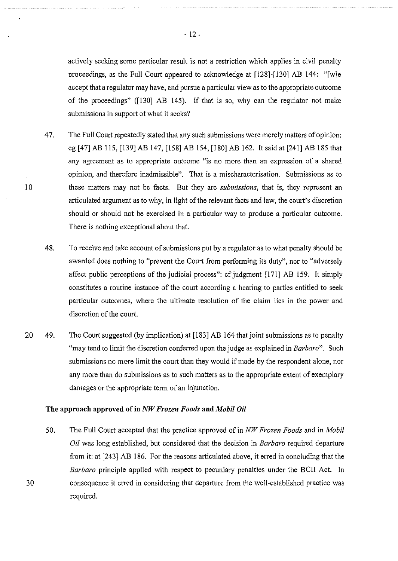actively seeking some particular result is not a restriction which applies in civil penalty proceedings, as the Full Court appeared to acknowledge at [128]-[130] AB 144: "[w]e accept that a regulator may have, and pursue a particular view as to the appropriate outcome of the proceedings" ([130] AB 145). If that is so, why can the regulator not make submissions in support of what it seeks?

- 47. The Full Court repeatedly stated that any such submissions were merely matters of opinion: eg [47] AB 115, [139] AB 147, [158] AB 154, [180] AB 162. It said at [241] AB 185 that any agreement as to appropriate outcome "is no more than an expression of a shared opinion, and therefore inadmissible". That is a mischaracterisation. Submissions as to these matters may not be facts. But they are *submissions,* that is, they represent an articulated argument as to why, in light of the relevant facts and law, the coutt's discretion should or should not be exercised in a particular way to produce a particular outcome. There is nothing exceptional about that.
- 48. To receive and take account of submissions put by a regulator as to what penalty should be awarded does nothing to "prevent the Court from performing its duty", nor to "adversely affect public perceptions of the judicial process": cf judgment [171] AB 159. It simply constitutes a routine instance of the court according a hearing to parties entitled to seek particular outcomes, where the ultimate resolution of the claim lies in the power and discretion of the court.
- 20 49. The Court suggested (by implication) at [183] AB 164 that joint submissions as to penalty "may tend to limit the discretion conferred upon the judge as explained in *Barbaro".* Such submissions no more limit the court than they would if made by the respondent alone, nor any more than do submissions as to such matters as to the appropriate extent of exemplary damages or the appropriate term of an injunction.

#### **The approach approved of in** *NW Frozen Foods* **and** *Mobil Oil*

10

30

50. The Full Court accepted that the practice approved of in *NW Frozen Foods* and in *Mobil Oil* was long established, but considered that the decision in *Barbaro* required departure from it: at [243] AB 186. For the reasons articulated above, it erred in concluding that the *Barbaro* principle applied with respect to pecuniary penalties under the BCII Act. In consequence it erred in considering that departure from the well-established practice was required.

- 12-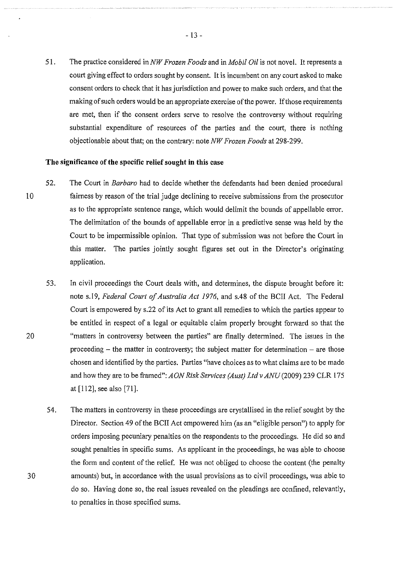51. The practice considered in *NW Frozen Foods* and in *Mobil Oil* is not novel. It represents a court giving effect to orders sought by consent. It is incumbent on any court asked to make consent orders to check that it has jurisdiction and power to make such orders, and that the making of such orders would be an appropriate exercise of the power. If those requirements are met, then if the consent orders serve to resolve the controversy without requiring substantial expenditure of resources of the parties and the court, there is nothing objectionable about that; on the contrary: note *NW Frozen Foods* at 298-299.

#### **The significance of the specific relief sought in this case**

- 10 52. The Court in *Barbaro* had to decide whether the defendants had been denied procedural fairness by reason of the trial judge declining to receive submissions from the prosecutor as to the appropriate sentence range, which would delimit the bounds of appellable error. The delimitation of the bounds of appellable error in a predictive sense was held by the Court to be impermissible opinion. That type of submission was not before the Court in this matter. The parties jointly sought figures set out in the Director's originating application.
	- 53. In civil proceedings the Court deals with, and determines, the dispute brought before it: note s.l9, *Federal Court of Australia Act 1976,* and s.48 of the BCII Act. The Federal Court is empowered by s.22 of its Act to grant all remedies to which the parties appear to be entitled in respect of a legal or equitable claim properly brought forward so that the "matters in controversy between the parties" are finally determined. The issues in the proceeding  $-$  the matter in controversy; the subject matter for determination  $-$  are those chosen and identified by the parties. Parties "have choices as to what claims are to be made and how they are to be framed": *AON Risk Services (Aust) Ltd v ANU* (2009) 239 CLR 175 at [112], see also [71].
	- 54. The matters in controversy in these proceedings are crystallised in the relief sought by the Director. Section 49 of the BCII Act empowered him (as an "eligible person") to apply for orders imposing pecuniary penalties on the respondents to the proceedings. He did so and sought penalties in specific sums. As applicant in the proceedings, he was able to choose the form and content of the relief. He was not obliged to choose the content (the penalty amounts) but, in accordance with the usual provisions as to civil proceedings, was able to do so. Having done so, the real issues revealed on the pleadings are confined, relevantly, to penalties in those specified sums.

20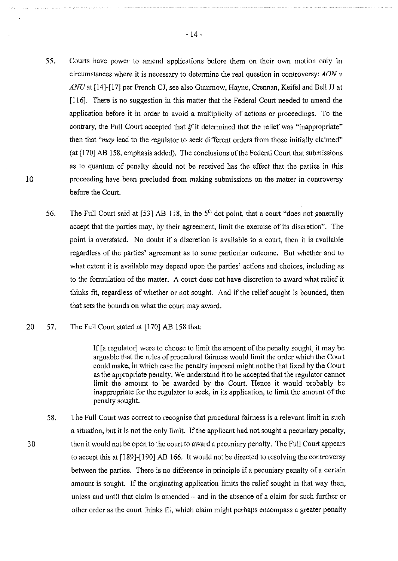- 55. Courts have power to amend applications before them on their own motion only in circumstances where it is necessary to determine the real question in controversy: *AON v ANU* at [14]-[17] per French CJ, see also Gummow, Hayne, Crennan, Keifel and Bell JJ at [116]. There is no suggestion in this matter that the Federal Court needed to amend the application before it in order to avoid a multiplicity of actions or proceedings. To the contrary, the Full Court accepted that if it determined that the relief was "inappropriate" then that *"may* lead to the regulator to seek different orders from those initially claimed" (at [170] AB 158, emphasis added). The conclusions of the Federal Court that submissions as to quantum of penalty should not be received has the effect that the parties in this proceeding have been precluded from making submissions on the matter in controversy before the Court.
- 56. The Full Court said at [53] AB 118, in the  $5<sup>th</sup>$  dot point, that a court "does not generally accept that the parties may, by their agreement, limit the exercise of its discretion". The point is overstated. No doubt if a discretion is available to a court, then it is available regardless of the parties' agreement as to some particular outcome. But whether and to what extent it is available may depend upon the parties' actions and choices, including as to the formulation of the matter. A court does not have discretion to award what relief it thinks fit, regardless of whether or not sought. And if the relief sought is bounded, then that sets the bounds on what the court may award.

#### 20 57. The Full Court stated at [170] AB 158 that:

If [a regulator] were to choose to limit the amount of the penalty sought, it may be arguable that the rules of procedural fairness would limit the order which the Court could make, in which case the penalty imposed might not be that fixed by the Court as the appropriate penalty. We understand it to be accepted that the regulator cannot limit the amount to be awarded by the Court. Hence it would probably be inappropriate for the regulator to seek, in its application, to limit the amount of the penalty sought.

58. The Full Court was correct to recognise that procedural fairness is a relevant limit in such a situation, but it is not the only limit. If the applicant had not sought a pecuniary penalty, then it would not be open to the court to award a pecuniary penalty. The Full Court appears to accept this at [189]-[190] AB 166. It would not be directed to resolving the controversy between the parties. There is no difference in principle if a pecuniary penalty of a certain amount is sought. If the originating application limits the relief sought in that way then, unless and until that claim is amended - and in the absence of a claim for such further or other order as the court thinks fit, which claim might perhaps encompass a greater penalty

30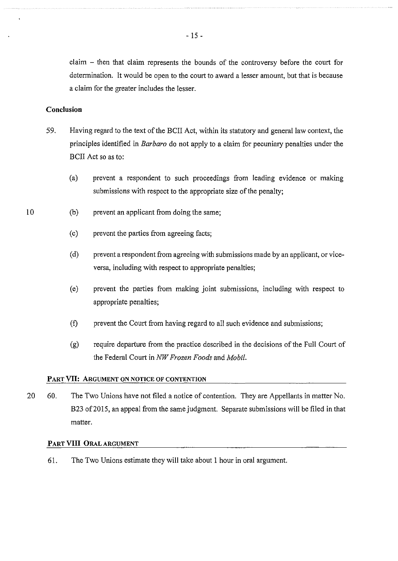claim - then that claim represents the bounds of the controversy before the court for determination. It would be open to the court to award a lesser amount, but that is because a claim for the greater includes the lesser.

#### Conclusion

- 59. Having regard to the text of the BCII Act, within its statutory and general law context, the principles identified in *Barbaro* do not apply to a claim for pecuniary penalties under the BCII Act so as to:
	- (a) prevent a respondent to such proceedings from leading evidence or making submissions with respect to the appropriate size of the penalty;
	- (b) prevent an applicant from doing the same;
		- (c) prevent the parties from agreeing facts;
		- (d) prevent a respondent from agreeing with submissions made by an applicant, or viceversa, including with respect to appropriate penalties;
		- (e) prevent the parties from making joint submissions, including with respect to appropriate penalties;
		- (f) prevent the Court from having regard to all such evidence and submissions;
		- (g) require departure from the practice described in the decisions of the Full Court of the Federal Court in *NW Frozen Foods* and *Mobil.*

#### PART VII: ARGUMENT ON NOTICE OF CONTENTION

20 60. The Two Unions have not filed a notice of contention. They are Appellants in matter No. B23 of 2015, an appeal from the same judgment. Separate submissions will be filed in that matter.

#### PART VIII ORAL ARGUMENT

61. The Two Unions estimate they will take about 1 hour in oral argument.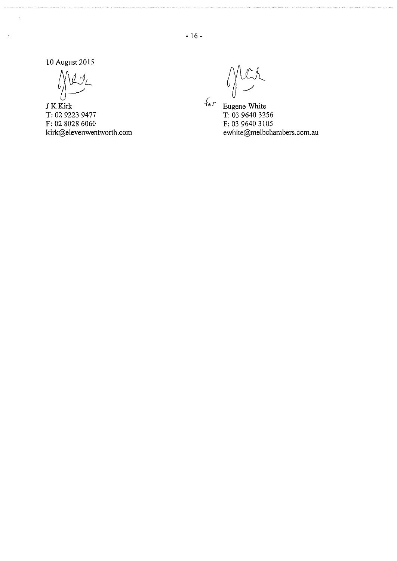10 August 2015

 $\bigcup_{i=1}^n\frac{\sum_{i=1}^n a_i}{\sum_{i=1}^n a_i}$ 

JKKirk T: 02 9223 9477 F: 02 8028 6060 kirk@elevenwentworth.com

ler  $\mathcal{L}(\mathcal{E})$ 

Eugene White T: 03 9640 3256 F: 03 9640 3105 ewhite@me1bchambers.com.au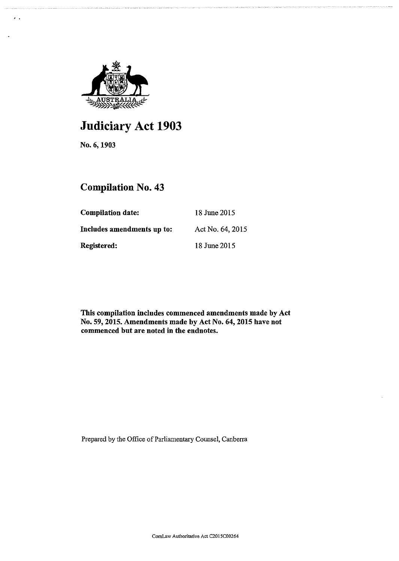

# **Judiciary Act 1903**

No.6, 1903

' .

## **Compilation** No. **43**

| <b>Compilation date:</b>   | 18 June 2015     |
|----------------------------|------------------|
| Includes amendments up to: | Act No. 64, 2015 |
| Registered:                | 18 June 2015     |

This compilation includes commenced amendments made by Act No. 59, 2015. Amendments made by Act No. 64, 2015 have not commenced but are noted in the endnotes.

Prepared by the Office of Parliamentary Counsel, Canberra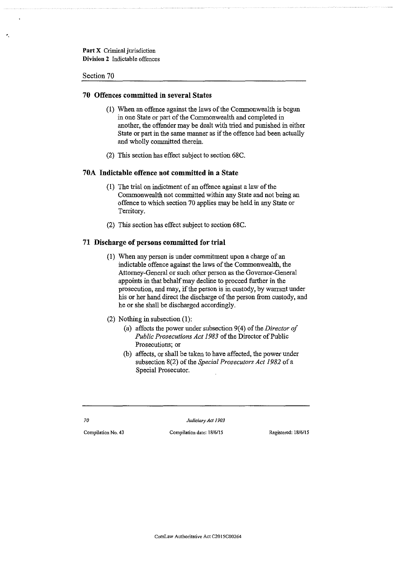#### Section 70

•.

#### **70 Offences committed in several States**

- (1) When an offence against the laws of the Commonwealth is begun in one State or part of the Commonwealth and completed in another, the offender may be dealt with tried and punished in either State or part in the same manner as if the offence had been actually and wholly committed therein.
- (2) This section has effect subject to section 68C.

#### **70A Indictable offence not committed in a State**

- ( 1) The trial on indictment of an offence against a law of the Commonwealth not committed within any State and not being an offence to which section 70 applies may be held in any State or Territory.
- (2) This section has effect subject to section 68C.

#### **71 Discharge of persons committed for trial**

- (!) When any person is under conunitment upon a charge of an indictable offence against the laws of the Commonwealth, the Attorney-General or such other person as the Governor-General appoints in that behalf may decline to proceed further in the prosecution, and may, if the person is in custody, by warrant under his or her hand direct the discharge of the person from custody, and he or she shall be discharged accordingly.
- (2) Nothing in subsection  $(1)$ :
	- (a) affects the power under subsection 9(4) of the *Director of Public Prosecutions Act 1983* of the Director of Public **Prosecutions; or**
	- (b) affects, or shall be taken to have affected, the power under subsection 8(2) of the *Special Prosecutors Act 1982* of a Special Prosecutor.

*70 Judiciary Act 1903* 

**Compilation No. 43 Compilation date: 18/6/l5 Registered: 18/6/15**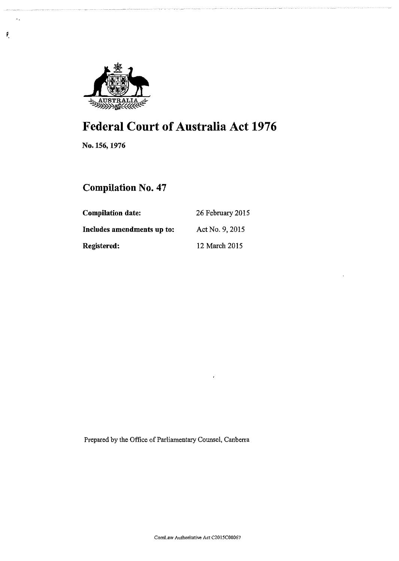

# Federal Court of Australia Act 1976

No. 156, 1976

 $\ddot{\phantom{a}}$ 

Ĺ

## Compilation No. 47

| <b>Compilation date:</b>   | 26 February 2015 |  |
|----------------------------|------------------|--|
| Includes amendments up to: | Act No. 9, 2015  |  |
| <b>Registered:</b>         | 12 March 2015    |  |

Prepared by the Office of Parliamentary Counsel, Canberra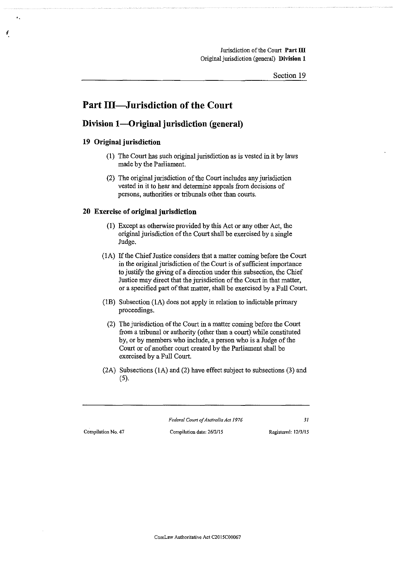## Part III—Jurisdiction of the Court

### Division 1—Original jurisdiction (general)

#### **19 Original jurisdiction**

*{* 

- (1) The Court has such original jurisdiction as is vested in it by laws made by the Parliament.
- (2) The original jurisdiction of the Court includes any jurisdiction vested in it to hear and determine appeals from decisions of persons, authorities or tribunals other than courts.

#### **20 Exercise of original jurisdiction**

- (I) Except as otherwise provided by this Act or any other Act, the original jurisdiction of the Court shall be exercised by a single Judge.
- (lA) If the Chief Justice considers that a matter coming before the Court in the original jurisdiction of the Court is of sufficient importance to justifY the giving of a direction under this subsection, the Chief Justice may direct that the jurisdiction of the Court in that matter, or a specified part of that matter, shall be exercised by a Full Court.
- (!B) Subsection (lA) does not apply in relation to indictable primary proceedings.
	- (2) The jurisdiction of the Court in a matter coming before the Court from a tribunal or authority (other than a court) while constituted by, or by members who include, a person who is a Judge of the Court or of another court created by the Parliament shall be exercised by a Full Court.
- (2A) Subsections (lA) and (2) have effect subject to subsections (3) and (5).

**Compilation No. 47 Compilation date: 26/2/15 Registered: 12/3/15** 

*Federal Court of Australia Act 1976 31*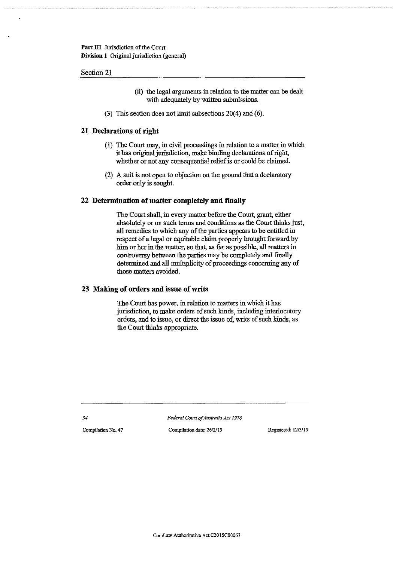#### Section 21

- (ii) the legal arguments in relation to the matter can be dealt with adequately by written submissions.
- (3) This section does not limit subsections 20(4) and (6).

#### **21 Declarations of right**

- (1) The Court may, in civil proceedings in relation to a matter in which it has original jurisdiction, make binding declarations of right, whether or not any consequential relief is or could be claimed.
- (2) A suit is not open to objection on the ground that a declaratory order ouly is sought.

#### **22 Determination of matter completely and finally**

The Court shall, in every matter before the Court, grant, either absolutely or on such terms and conditions as the Court thinks just, all remedies to which any of the parties appears to be entitled in respect of a legal or equitable claim properly brought forward by him or her in the matter, so that, as far as possible, all matters in controversy between the parties may be completely and finally determined and all multiplicity of proceedings concerning any of those matters avoided.

#### **23 Making of orders and issue of writs**

The Court has power, in relation to matters in which it has jurisdiction, to make orders of such kinds, including interlocutory orders, and to issue, or direct the issue of, writs of such kinds, as the Court thinks appropriate.

*34* 

*Federal Court of Australia Act 1976* 

**Compilation No. 47 Compilation date: 2612/15 Registered: 1213/15**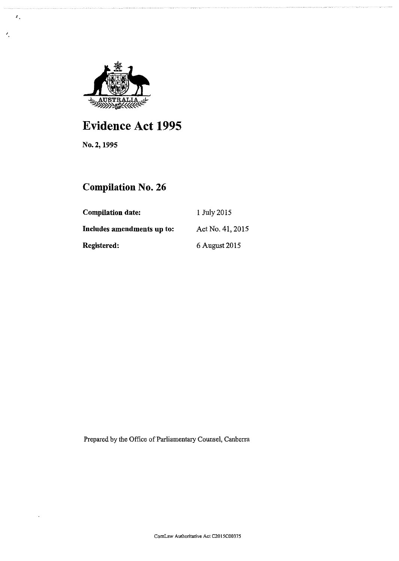

# Evidence Act 1995

No.2, 1995

 $\mathbf{z}_s$ 

 $\lambda$ 

## Compilation No. 26

| <b>Compilation date:</b>   | 1 July 2015      |
|----------------------------|------------------|
| Includes amendments up to: | Act No. 41, 2015 |
| Registered:                | 6 August 2015    |

Prepared by the Office of Parliamentary Counsel, Canberra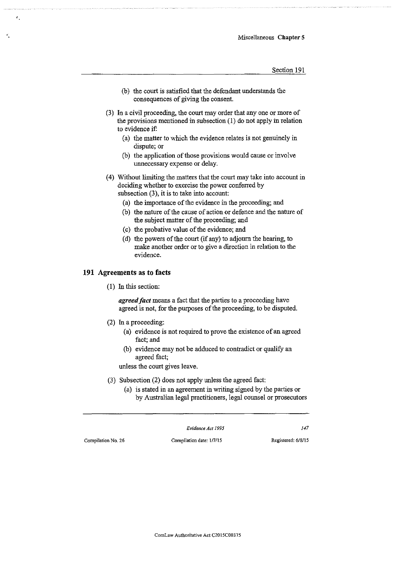- (b) the court is satisfied that the defendant understands the consequences of giving the consent.
- (3) ln a civil proceeding, the court may order that any one or more of the provisions mentioned in subsection (1) do not apply in relation to evidence if:
	- (a) the matter to which the evidence relates is not genuinely in dispute; or
	- (b) the application of those provisions would cause or involve unnecessary expense or delay.
- ( 4) Without limiting the matters that the court may take into account in deciding whether to exercise the power conferred by subsection  $(3)$ , it is to take into account:
	- (a) the importance of the evidence in the proceeding; and
	- (b) the nature of the cause of action or defence and the nature of the subject matter of the proceeding; and
	- (c) the probative value of the evidence; and
	- (d) the powers of the court (if any) to adjourn the hearing, to make another order or to give a direction in relation to the evidence.

#### **191 Agreements as to facts**

( 1) ln this section:

*agreed fact* means a fact that the parties to a proceeding have agreed is not, for the purposes of the proceeding, to be disputed.

- (2) ln a proceeding:
	- (a) evidence is not required to prove the existence of an agreed fact; and
	- (b) evidence may not be adduced to contradict or qualify an agreed fact;

unless the court gives leave.

- (3) Subsection (2) does not apply unless the agreed fact:
	- (a) is stated in an agreement in writing signed by the parties or by Australian legal practitioners, legal counsel or prosecutors

*Evidence Act 1995 147* 

**Compilation No. 26 Compilation date: 117/15 Registered: 6/8/15**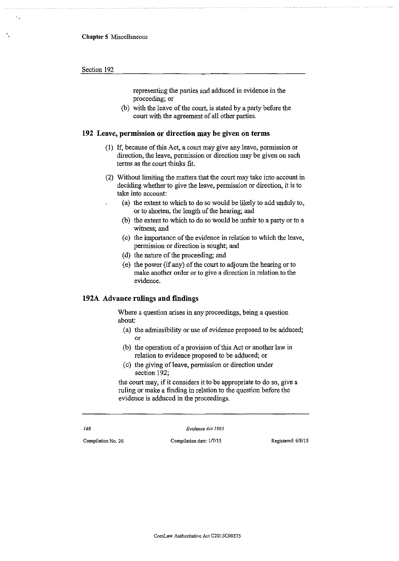representing the parties and adduced in evidence in the proceeding; or

(b) with the leave of the court, is stated by a party before the court with the agreement of all other parties.

#### **192 Leave, permission or direction may be given on terms**

- (I) If, because of this Act, a court may give any leave, permission or direction, the leave, permission or direction may be given on such terms as the court thinks fit.
- (2) Without limiting the matters that the court may take into account in deciding whether to give the leave, permission or direction, it is to take into account:
	- (a) the extent to which to do so would be likely to add unduly to, or to shorten, the length of the hearing; and
		- (b) the extent to which to do so would be unfair to a party or to a witness; and
		- (c) the importance of the evidence in relation to which the leave, permission or direction is sought; and
		- (d) the nature of the proceeding; and
		- (e) the power (if any) of the court to adjourn the hearing or to make another order or to give a direction in relation to the evidence.

#### **192A Advance rulings and findings**

Where a question arises in any proceedings, being a question about:

- (a) the admissibility or use of evidence proposed to be adduced; or
- (b) the operation of a provision of this Act or another law in relation to evidence proposed to be adduced; or
- (c) the giving of leave, permission or direction under section 192;

the court may, if it considers it to be appropriate to do so, give a ruling or make a finding in relation to the question before the evidence is adduced in the proceedings.

*Evidence Act 1995* 

*148* 

**Compilation No. 26 Compilation date: 117/15 Registered: 6/8/15**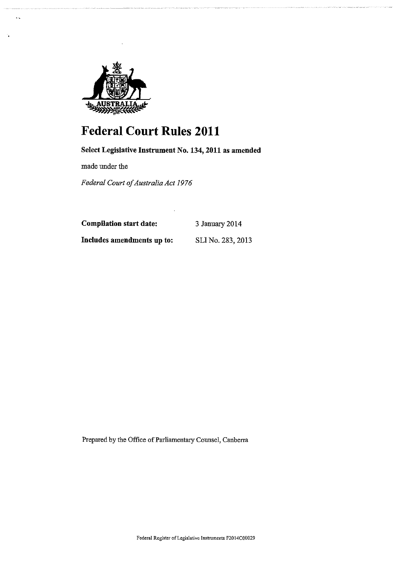

# **Federal Court Rules 2011**

## Select Legislative Instrument No. 134, 2011 as amended

made under the

*Federal Court of Australia Act 1976* 

Compilation start date:

3 January 2014

Includes amendments up to:

SLINo. 283,2013

Prepared by the Office of Parliamentary Counsel, Canberra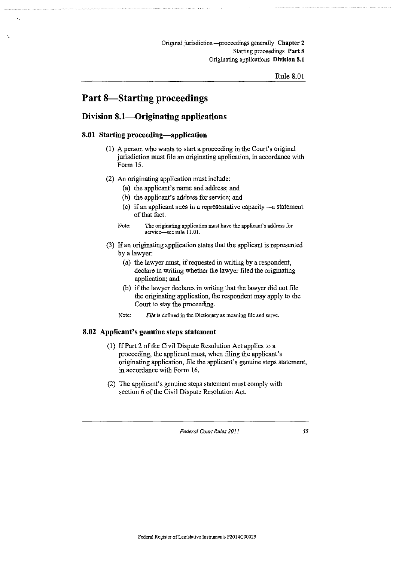## Part 8-Starting proceedings

### Division 8.1—Originating applications

#### 8.01 Starting proceeding-application

- (1) A person who wants to start a proceeding in the Court's original jurisdiction must file an originating application, in accordance with Form 15.
- (2) An originating application must include:
	- (a) the applicant's name and address; and
	- (b) the applicant's address for service; and
	- (c) if an applicant sues in a representative capacity-a statement of that fact.
	- Note: The originating application must have the applicant's address for service-see rule 11.01.
- (3) If an originating application states that the applicant is represented by a lawyer:
	- (a) the lawyer must, if requested in writing by a respondent, declare in writing whether the lawyer filed the originating application; and
	- (b) if the lawyer declares in writing that the lawyer did not file the originating application, the respondent may apply to the Court to stay the proceeding.
	- Note: **File** is defined in the Dictionary as meaning file and serve.

#### 8.02 Applicant's genuine steps statement

- (1) If Part 2 of the Civil Dispute Resolution Act applies to a proceeding, the applicant must, when filing the applicant's originating application, file the applicant's genuine steps statement, in accordance with Form 16.
- (2) The applicant's genuine steps statement must comply with section 6 of the Civil Dispute Resolution Act.

*Federal Court Rules 2011*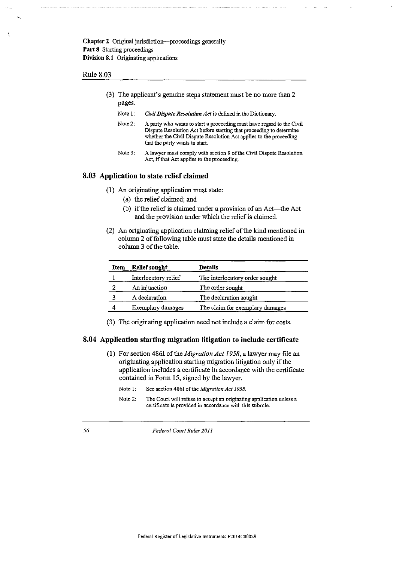#### Rule 8.03

- (3) The applicant's genuine steps statement must be no more than 2 pages.
	- Note 1: *Civil Dispute Resolution Act* is defined in the Dictionary.
	- Note2: A party who wants to start a proceeding must have regard to the Civil Dispute Resolution Act before starting that proceeding to detennine whether the Civil Dispute Resolution Act applies to the proceeding that the party wants to start.
	- Note 3: A lawyer must comply with section 9 of the Civil Dispute Resolution Act, if that Act applies to the proceeding.

#### 8.03 Application to state relief claimed

- (I) An originating application must state:
	- (a) the relief claimed; and
	- (b) if the relief is claimed under a provision of an Act-the Act and the provision under which the relief is claimed.
- (2) An originating application claiming relief of the kind mentioned in column 2 of following table must state the details mentioned in column 3 of the table.

| <b>Relief sought</b> | <b>Details</b>                  |
|----------------------|---------------------------------|
| Interlocutory relief | The interlocutory order sought  |
| An injunction        | The order sought                |
| A declaration        | The declaration sought          |
| Exemplary damages    | The claim for exemplary damages |
|                      |                                 |

(3) The originating application need not include a claim for costs.

#### 8.04 Application starting migration litigation to include certificate

- {I) For section 4861 of the *Migration Act 1958,* a lawyer may file an originating application starting migration litigation only if the application includes a certificate in accordance with the certificate contained in Form 15, signed by the lawyer.
	- Note 1: See section 4861 of the *Migration Act 1958.*
	- Note 2: The Court will refuse to accept an originating application unless a certificate is provided in accordance with this subrule.

*56 Federal Court Rules 2011*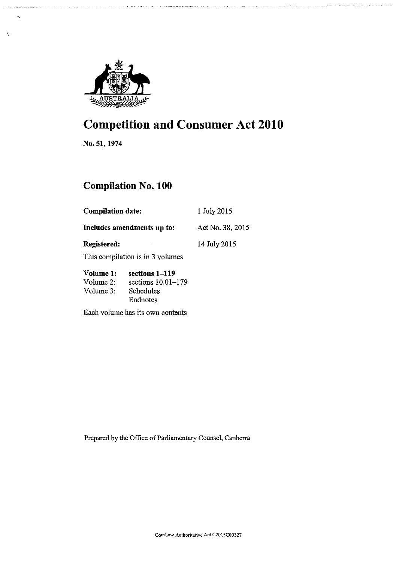

# Competition and Consumer Act 2010

No. 51, 1974

·.

 $\mathbf{q}_2$ 

## Compilation No. 100

| <b>Compilation date:</b><br>Includes amendments up to: |                                  | 1 July 2015<br>Act No. 38, 2015 |  |
|--------------------------------------------------------|----------------------------------|---------------------------------|--|
|                                                        |                                  |                                 |  |
|                                                        | This compilation is in 3 volumes |                                 |  |
| Volume 1:                                              | sections 1–119                   |                                 |  |
| Volume $2$ :                                           | sections $10.01-179$             |                                 |  |

Volume 3: Schedules Endnotes

Each volume has its own contents

Prepared by the Office of Parliamentary Counsel, Canberra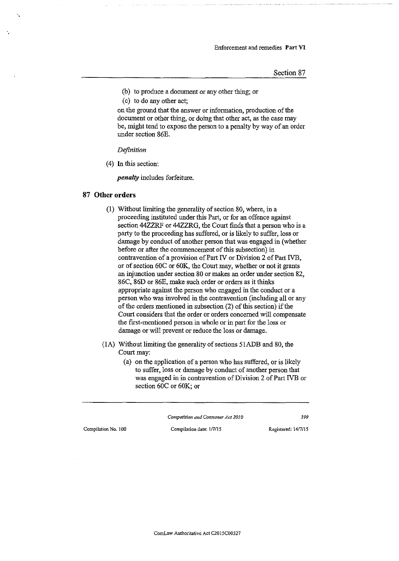- (b) to produce a document or any other thing; or
- (c) to do any other act;

on the ground that the answer or information, production of the document or other thing, or doing that other act, as the case may be, might tend to expose the person to a penalty by way of an order under section 86E.

*Definition* 

(4) In this section:

*penalty* includes forfeiture.

#### **87 Other orders**

- (I) Without limiting the generality of section 80, where, in a proceeding instituted under this Part, or for an offence against section 44ZZRF or 44ZZRG, the Court fmds that a person who is a party to the proceeding has suffered, or is likely to suffer, loss or damage by conduct of another person that was engaged in (whether before or after the commencement of this subsection) in contravention of a provision of Part IV or Division 2 of Part IVB, or of section 60C or 60K, the Court may, whether or not it grants an injunction under section 80 or makes an order under section 82, 86C, 86D or 86E, make such order or orders as it thinks appropriate against the person who engaged in the conduct or a person who was involved in the contravention (including all or any of the orders mentioned in subsection (2) of this section) if the Court considers that the order or orders concerned will compensate the first-mentioned person in whole or in part for the loss or damage or will prevent or reduce the loss or damage.
- (IA) Without limiting the generality of sections 51ADB and 80, the Court may:
	- (a) on the application of a person who has suffered, or is likely to suffer, loss or damage by conduct of another person that was engaged in in contravention of Division 2 of Part IVB or section 60C or 60K; or

*Competition and Consumer Act 2010 399* 

**Compilation No. I 00 Compilation date: l/7/15 Registered: 14/7/15**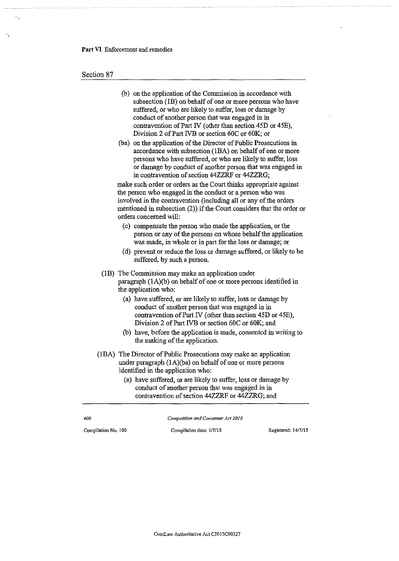Section 87

- (b) on the application of the Commission in accordance with subsection (1B) on behalf of one or more persons who have suffered, or who are likely to suffer, loss or damage by conduct of another person that was engaged in in contravention of Part IV (other than section 45D or 45E), Division 2 of Part IVB or section 60C or 60K; or
- (ba) on the application of the Director of Public Prosecutions in accordance with subsection (IBA) on behalf of one or more persons who have suffered, or who are likely to suffer, loss or damage by conduct of another person that was engaged in in contravention of section 44ZZRF or 44ZZRG;

make such order or orders as the Court thinks appropriate against the person who engaged in the conduct or a person who was involved in the contravention (including all or any of the orders mentioned in subsection (2)) if the Court considers that the order or orders concerned will:

- (c) compensate the person who made the application, or the person or any of the persons on whose behalf the application was made, in whole or in part for the loss or damage; or
- (d) prevent or reduce the loss or damage suffered, or likely to be suffered, by such a person.
- (lB) The Commission may make an application under paragraph (lA)(b) on behalf of one or more persons identified in the application who:
	- (a) have suffered, or are likely to suffer, loss or damage by conduct of another person that was engaged in in contravention of Part IV (other than section 45D or 45E), Division 2 of Part IVB or section 60C or 60K; and
	- (b) have, before the application is made, consented in writing to the making of the application.
- (IBA) The Director of Public Prosecutions may make an application under paragraph (IA)(ba) on behalf of one or more persons identified in the application who:
	- (a) have suffered, or are likely to suffer, loss or damage by conduct of another person that was engaged in in contravention of section 44ZZRF or 44ZZRG; and

Compilation No. 100 Compilation date: 1/7/15 Registered: 14/7/15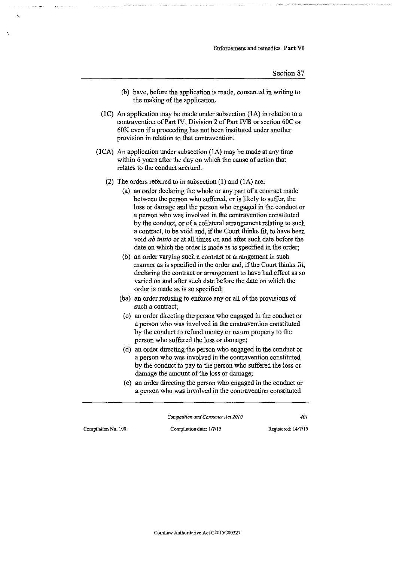- (b) have, before the application is made, consented in writing to the making of the application.
- (1C) An application may be made under subsection  $(1A)$  in relation to a contravention of Part IV, Division 2 of Part IVB or section 60C or 60K even if a proceeding has not been instituted under another provision in relation to that contravention.
- (ICA) An application under subsection (lA) may be made at any time within 6 years after the day on which the cause of action that relates to the conduct accrued.
	- (2) The orders referred to in subsection (I) and (lA) are:
		- (a) an order declaring the whole or any part of a contract made between the person who suffered, or is likely to suffer, the loss or damage and the person who engaged in the conduct or a person who was involved in the contravention constituted by the conduct, or of a collateral arrangement relating to such a contract, to be void and, if the Court thinks fit, to have been void *ab initio* or at all times on and after such date before the date on which the order is made as is specified in the order;
		- (b) an order varying such a contract or arrangement in such manner as is specified in the order and, if the Court thinks fit, declaring the contract or arrangement to have had effect as so varied on and after such date before the date on which the order is made as is so specified;
		- (ba) an order refusing to enforce any or all of the provisions of such a contract;
		- (c) an order directing the person who engaged in the conduct or a person who was involved in the contravention constituted by the conduct to refund money or return property to the person who suffered the loss or damage;
		- (d) an order directing the person who engaged in the conduct or a person who was involved in the contravention constituted by the conduct to pay to the person who suffered the loss or damage the amount of the loss or damage;
		- (e) an order directing the person who engaged in the conduct or a person who was involved in the contravention constituted

*Competition and Consumer Act 2010 401* 

·.

**Compilation No. 100 Compilation date: 117/15 Registered: 14/7/15** 

**ComLaw Authoritative Act C2015C00327**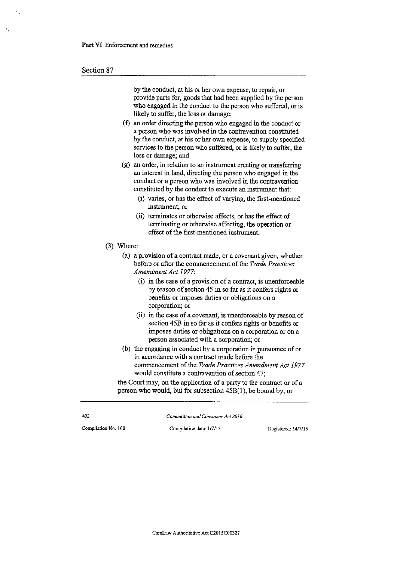#### Section 87

·.

by the conduct, at his or her own expense, to repair, or provide parts for, goods that had been supplied by the person who engaged in the conduct to the person who suffered, or is likely to suffer, the loss or damage;

- (f) an order directing the person who engaged in the conduct or a person who was involved in the contravention constituted by the conduct, at his or her own expense, to supply specified services to the person who suffered, or is likely to suffer, the loss or damage; and
- (g) an order, in relation to an instrument creating or transferring an interest in land, directing the person who engaged in the conduct or a person who was involved in the contravention constituted by the conduct to execute an instrument that:
	- (i) varies, or has the effect of varying, the first-mentioned **instrument; or**
	- (ii) terminates or otherwise affects, or has the effect of terminating or otherwise affecting, the operation or effect of the first-mentioned instrument.
- (3) Where:
	- (a) a provision of a contract made, or a covenant given, whether before or after the commencement of the *Trade Practices Amendment Act 1977:* 
		- (i) in the case of a provision of a contract, is unenforceable by reason of section 45 in so far as it confers rights or benefits or imposes duties or obligations on a **corporation; or**
		- (ii) in the case of a covenant, is unenforceable by reason of section 45B in so far as it confers rights or benefits or imposes duties or obligations on a corporation or on a person associated with a corporation; or
	- (b) the engaging in conduct by a corporation in pursuance of or in accordance with a contract made before the commencement of the *Trade Practices Amendment Act 1977*  would constitute a contravention of section 47;

the Court may, on the application of a party to the contract or of a person who would, but for subsection 45B(l ), be bound by, or

*Competition and Consumer Act 2010* 

*402* 

Compilation No. 100 Compilation date: 1/7/15 Registered: 14/7/15